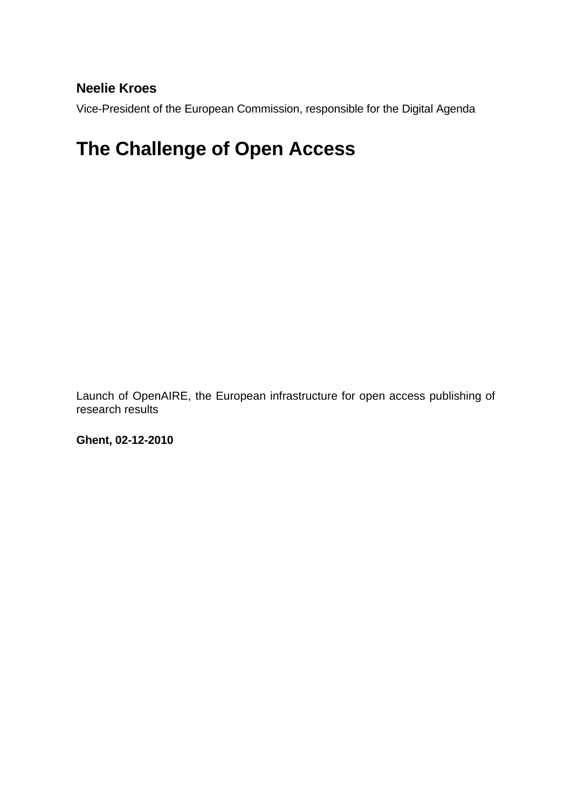## **Neelie Kroes**

Vice-President of the European Commission, responsible for the Digital Agenda

## **The Challenge of Open Access**

Launch of OpenAIRE, the European infrastructure for open access publishing of research results

**Ghent, 02-12-2010**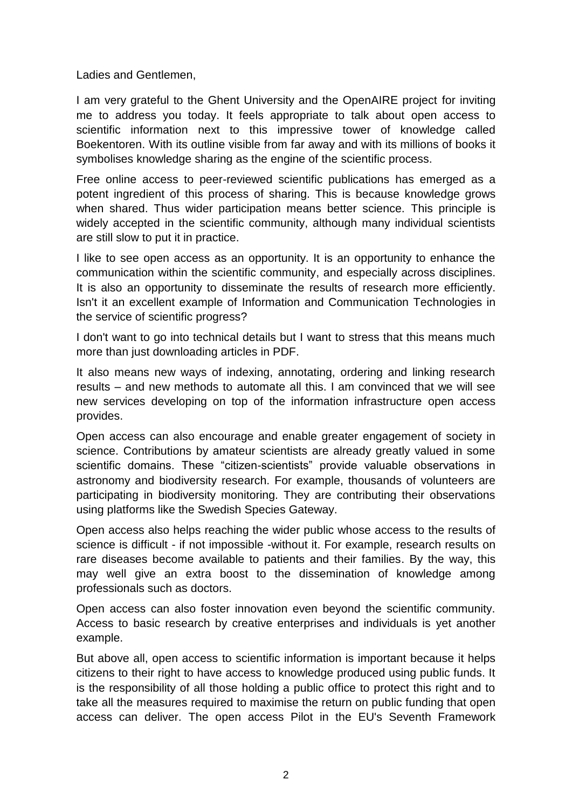Ladies and Gentlemen,

I am very grateful to the Ghent University and the OpenAIRE project for inviting me to address you today. It feels appropriate to talk about open access to scientific information next to this impressive tower of knowledge called Boekentoren. With its outline visible from far away and with its millions of books it symbolises knowledge sharing as the engine of the scientific process.

Free online access to peer-reviewed scientific publications has emerged as a potent ingredient of this process of sharing. This is because knowledge grows when shared. Thus wider participation means better science. This principle is widely accepted in the scientific community, although many individual scientists are still slow to put it in practice.

I like to see open access as an opportunity. It is an opportunity to enhance the communication within the scientific community, and especially across disciplines. It is also an opportunity to disseminate the results of research more efficiently. Isn't it an excellent example of Information and Communication Technologies in the service of scientific progress?

I don't want to go into technical details but I want to stress that this means much more than just downloading articles in PDF.

It also means new ways of indexing, annotating, ordering and linking research results – and new methods to automate all this. I am convinced that we will see new services developing on top of the information infrastructure open access provides.

Open access can also encourage and enable greater engagement of society in science. Contributions by amateur scientists are already greatly valued in some scientific domains. These "citizen-scientists" provide valuable observations in astronomy and biodiversity research. For example, thousands of volunteers are participating in biodiversity monitoring. They are contributing their observations using platforms like the Swedish Species Gateway.

Open access also helps reaching the wider public whose access to the results of science is difficult - if not impossible -without it. For example, research results on rare diseases become available to patients and their families. By the way, this may well give an extra boost to the dissemination of knowledge among professionals such as doctors.

Open access can also foster innovation even beyond the scientific community. Access to basic research by creative enterprises and individuals is yet another example.

But above all, open access to scientific information is important because it helps citizens to their right to have access to knowledge produced using public funds. It is the responsibility of all those holding a public office to protect this right and to take all the measures required to maximise the return on public funding that open access can deliver. The open access Pilot in the EU's Seventh Framework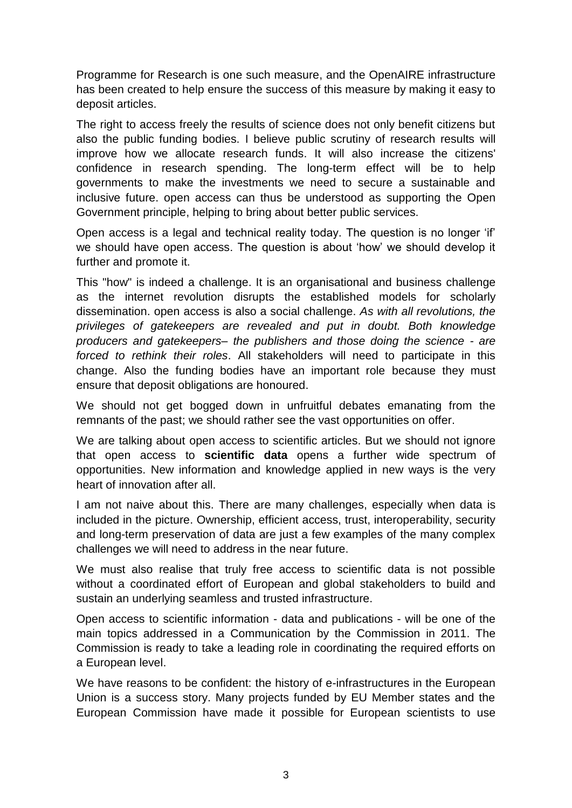Programme for Research is one such measure, and the OpenAIRE infrastructure has been created to help ensure the success of this measure by making it easy to deposit articles.

The right to access freely the results of science does not only benefit citizens but also the public funding bodies. I believe public scrutiny of research results will improve how we allocate research funds. It will also increase the citizens' confidence in research spending. The long-term effect will be to help governments to make the investments we need to secure a sustainable and inclusive future. open access can thus be understood as supporting the Open Government principle, helping to bring about better public services.

Open access is a legal and technical reality today. The question is no longer "if" we should have open access. The question is about "how" we should develop it further and promote it.

This "how" is indeed a challenge. It is an organisational and business challenge as the internet revolution disrupts the established models for scholarly dissemination. open access is also a social challenge. *As with all revolutions, the privileges of gatekeepers are revealed and put in doubt. Both knowledge producers and gatekeepers– the publishers and those doing the science - are forced to rethink their roles*. All stakeholders will need to participate in this change. Also the funding bodies have an important role because they must ensure that deposit obligations are honoured.

We should not get bogged down in unfruitful debates emanating from the remnants of the past; we should rather see the vast opportunities on offer.

We are talking about open access to scientific articles. But we should not ignore that open access to **scientific data** opens a further wide spectrum of opportunities. New information and knowledge applied in new ways is the very heart of innovation after all.

I am not naive about this. There are many challenges, especially when data is included in the picture. Ownership, efficient access, trust, interoperability, security and long-term preservation of data are just a few examples of the many complex challenges we will need to address in the near future.

We must also realise that truly free access to scientific data is not possible without a coordinated effort of European and global stakeholders to build and sustain an underlying seamless and trusted infrastructure.

Open access to scientific information - data and publications - will be one of the main topics addressed in a Communication by the Commission in 2011. The Commission is ready to take a leading role in coordinating the required efforts on a European level.

We have reasons to be confident: the history of e-infrastructures in the European Union is a success story. Many projects funded by EU Member states and the European Commission have made it possible for European scientists to use